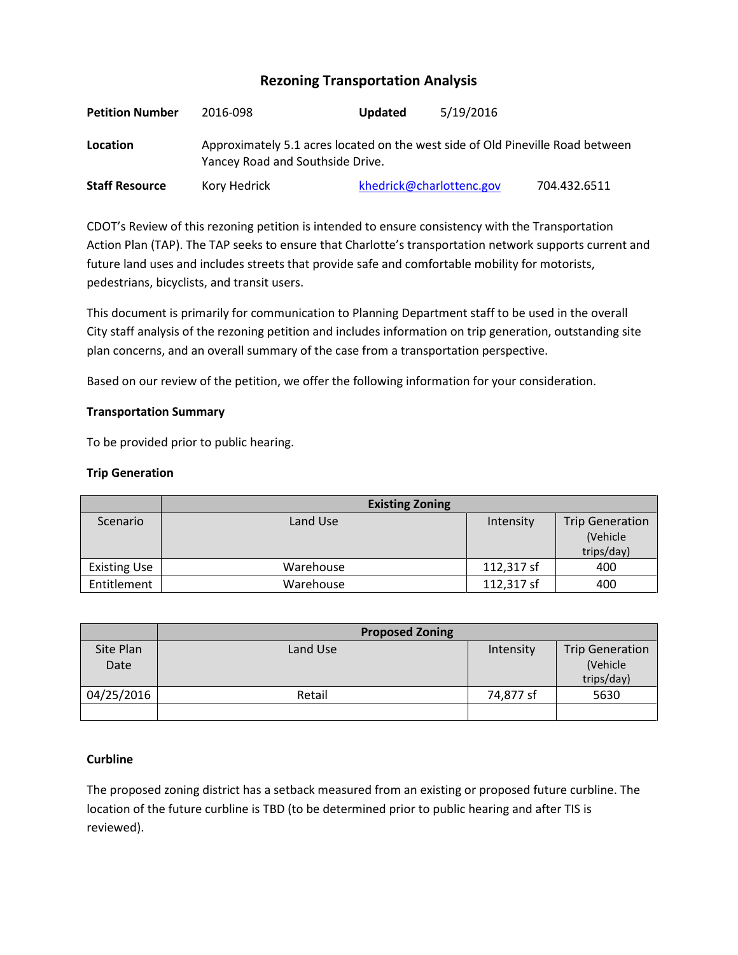# **Rezoning Transportation Analysis**

| <b>Petition Number</b> | 2016-098                                                                                                           | 5/19/2016<br><b>Updated</b> |              |  |  |
|------------------------|--------------------------------------------------------------------------------------------------------------------|-----------------------------|--------------|--|--|
| Location               | Approximately 5.1 acres located on the west side of Old Pineville Road between<br>Yancey Road and Southside Drive. |                             |              |  |  |
| <b>Staff Resource</b>  | Kory Hedrick                                                                                                       | khedrick@charlottenc.gov    | 704.432.6511 |  |  |

CDOT's Review of this rezoning petition is intended to ensure consistency with the Transportation Action Plan (TAP). The TAP seeks to ensure that Charlotte's transportation network supports current and future land uses and includes streets that provide safe and comfortable mobility for motorists, pedestrians, bicyclists, and transit users.

This document is primarily for communication to Planning Department staff to be used in the overall City staff analysis of the rezoning petition and includes information on trip generation, outstanding site plan concerns, and an overall summary of the case from a transportation perspective.

Based on our review of the petition, we offer the following information for your consideration.

## **Transportation Summary**

To be provided prior to public hearing.

## **Trip Generation**

|                     | <b>Existing Zoning</b> |            |                        |
|---------------------|------------------------|------------|------------------------|
| Scenario            | Land Use               | Intensity  | <b>Trip Generation</b> |
|                     |                        |            | (Vehicle)              |
|                     |                        |            | trips/day)             |
| <b>Existing Use</b> | Warehouse              | 112,317 sf | 400                    |
| Entitlement         | Warehouse              | 112,317 sf | 400                    |

|            | <b>Proposed Zoning</b> |           |                        |
|------------|------------------------|-----------|------------------------|
| Site Plan  | Land Use               | Intensity | <b>Trip Generation</b> |
| Date       |                        |           | (Vehicle               |
|            |                        |           | trips/day)             |
| 04/25/2016 | Retail                 | 74,877 sf | 5630                   |
|            |                        |           |                        |

## **Curbline**

The proposed zoning district has a setback measured from an existing or proposed future curbline. The location of the future curbline is TBD (to be determined prior to public hearing and after TIS is reviewed).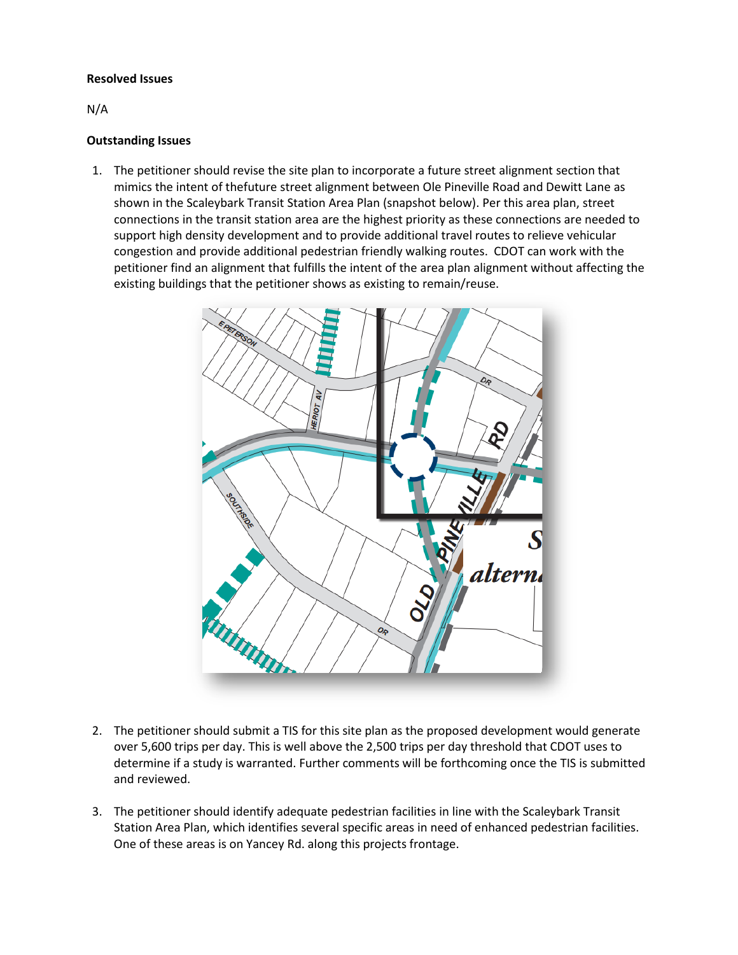#### **Resolved Issues**

N/A

#### **Outstanding Issues**

1. The petitioner should revise the site plan to incorporate a future street alignment section that mimics the intent of thefuture street alignment between Ole Pineville Road and Dewitt Lane as shown in the Scaleybark Transit Station Area Plan (snapshot below). Per this area plan, street connections in the transit station area are the highest priority as these connections are needed to support high density development and to provide additional travel routes to relieve vehicular congestion and provide additional pedestrian friendly walking routes. CDOT can work with the petitioner find an alignment that fulfills the intent of the area plan alignment without affecting the existing buildings that the petitioner shows as existing to remain/reuse.



- 2. The petitioner should submit a TIS for this site plan as the proposed development would generate over 5,600 trips per day. This is well above the 2,500 trips per day threshold that CDOT uses to determine if a study is warranted. Further comments will be forthcoming once the TIS is submitted and reviewed.
- 3. The petitioner should identify adequate pedestrian facilities in line with the Scaleybark Transit Station Area Plan, which identifies several specific areas in need of enhanced pedestrian facilities. One of these areas is on Yancey Rd. along this projects frontage.